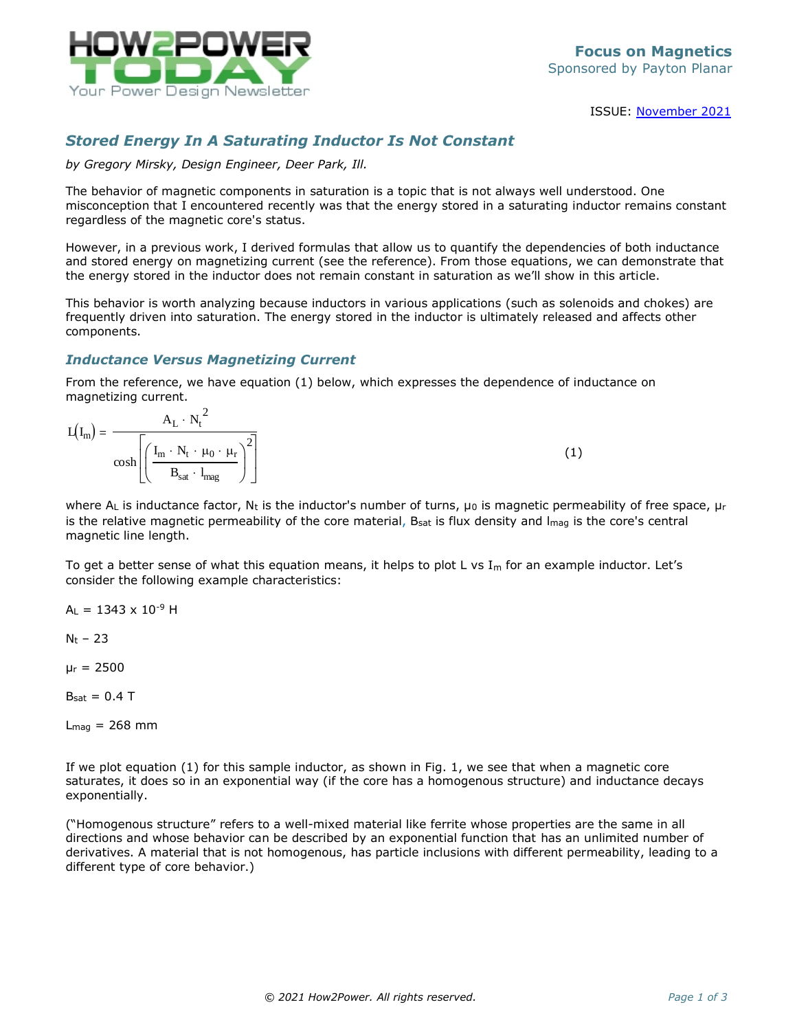

ISSUE: [November](http://www.how2power.com/newsletters/2111/index.html) 2021

## *Stored Energy In A Saturating Inductor Is Not Constant*

*by Gregory Mirsky, Design Engineer, Deer Park, Ill.*

The behavior of magnetic components in saturation is a topic that is not always well understood. One misconception that I encountered recently was that the energy stored in a saturating inductor remains constant regardless of the magnetic core's status.

However, in a previous work, I derived formulas that allow us to quantify the dependencies of both inductance and stored energy on magnetizing current (see the reference). From those equations, we can demonstrate that the energy stored in the inductor does not remain constant in saturation as we'll show in this article.

This behavior is worth analyzing because inductors in various applications (such as solenoids and chokes) are frequently driven into saturation. The energy stored in the inductor is ultimately released and affects other components.

## *Inductance Versus Magnetizing Current*

From the reference, we have equation (1) below, which expresses the dependence of inductance on magnetizing current.

| $L(I_{m}$                                                                                                                                                                             |  |
|---------------------------------------------------------------------------------------------------------------------------------------------------------------------------------------|--|
| $\cosh\left \left(\frac{\mathrm{I}_{\mathrm{m}}\cdot\mathrm{N}_{\mathrm{t}}\cdot\mu_{0}\cdot\mu_{\mathrm{r}}}{\mathrm{D}_{\mathrm{m}}\cdot\mathrm{L}_{\mathrm{r}}}\right)^{2}\right $ |  |
| $\mathbf{B}_{\text{sat}}\,\cdot\, \mathbf{l}_{\text{mag}}$                                                                                                                            |  |

where  $A_L$  is inductance factor,  $N_t$  is the inductor's number of turns,  $\mu_0$  is magnetic permeability of free space,  $\mu_r$ is the relative magnetic permeability of the core material,  $B_{sat}$  is flux density and  $I_{max}$  is the core's central magnetic line length.

To get a better sense of what this equation means, it helps to plot L vs  $I_m$  for an example inductor. Let's consider the following example characteristics:

 $A_1 = 1343 \times 10^{-9}$  H

 $N_t - 23$ 

 $\mu$ r = 2500

 $B_{sat} = 0.4$  T

 $L_{\text{maq}} = 268$  mm

If we plot equation (1) for this sample inductor, as shown in Fig. 1, we see that when a magnetic core saturates, it does so in an exponential way (if the core has a homogenous structure) and inductance decays exponentially.

("Homogenous structure" refers to a well-mixed material like ferrite whose properties are the same in all directions and whose behavior can be described by an exponential function that has an unlimited number of derivatives. A material that is not homogenous, has particle inclusions with different permeability, leading to a different type of core behavior.)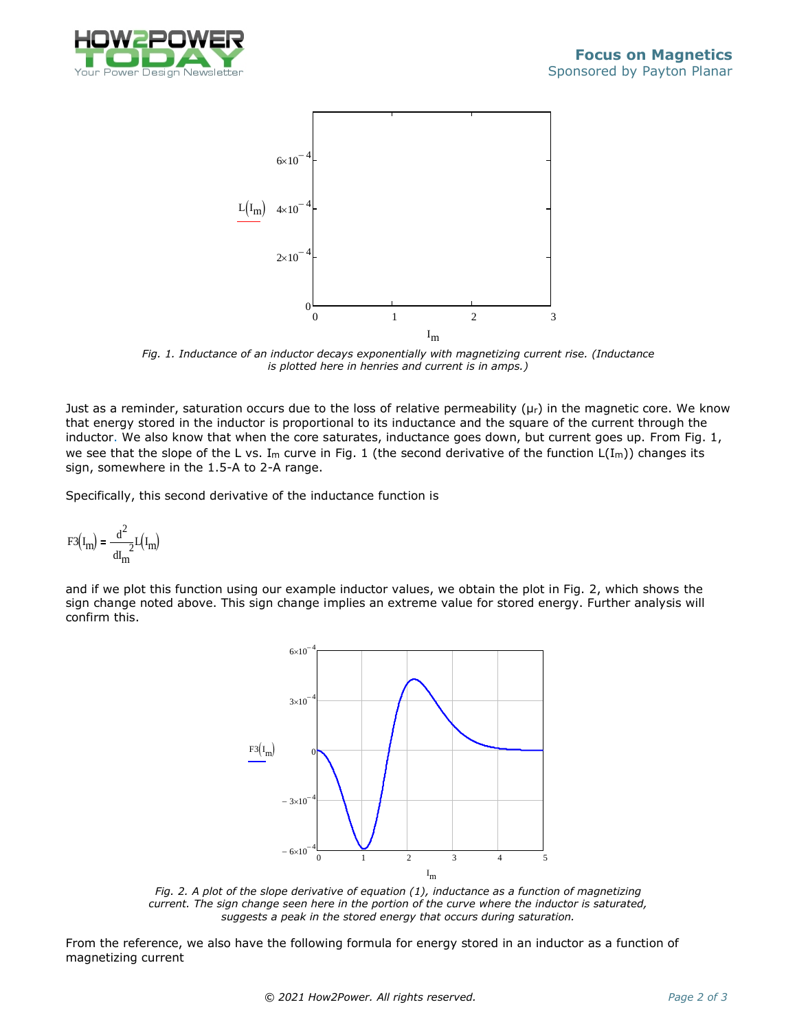



*Fig. 1. Inductance of an inductor decays exponentially with magnetizing current rise. (Inductance is plotted here in henries and current is in amps.)*

Just as a reminder, saturation occurs due to the loss of relative permeability ( $\mu$ r) in the magnetic core. We know that energy stored in the inductor is proportional to its inductance and the square of the current through the inductor. We also know that when the core saturates, inductance goes down, but current goes up. From Fig. 1, we see that the slope of the L vs. I<sub>m</sub> curve in Fig. 1 (the second derivative of the function  $L(I_m)$ ) changes its sign, somewhere in the 1.5-A to 2-A range.

Specifically, this second derivative of the inductance function is

$$
F3\left(I_m\right)=\frac{d^2}{dI_m^2}L\left(I_m\right)
$$

and if we plot this function using our example inductor values, we obtain the plot in Fig. 2, which shows the sign change noted above. This sign change implies an extreme value for stored energy. Further analysis will confirm this.



*Fig. 2. A plot of the slope derivative of equation (1), inductance as a function of magnetizing current. The sign change seen here in the portion of the curve where the inductor is saturated, suggests a peak in the stored energy that occurs during saturation.*

From the reference, we also have the following formula for energy stored in an inductor as a function of magnetizing current